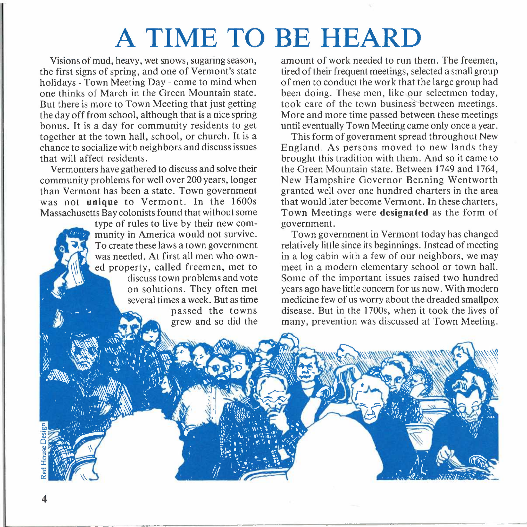## **A TIME TO BE HEARD**

Visions of mud, heavy, wet snows, sugaring season, the first signs of spring, and one of Vermont's state holidays - Town Meeting Day - come to mind when one thinks of March in the Green Mountain state. But there is more to Town Meeting that just getting the day off from school, although that is a nice spring bonus. It is a day for community residents to get together at the town hall, school, or church. It is a chance to socialize with neighbors and discuss issues that will affect residents.

Vermonters have gathered to discuss and solve their community problems for well over 200 years, longer than Vermont has been a state. Town government was not **unique** to Vermont. In the 1600s Massachusetts Bay colonists found that without some

type of rules to live by their new community in America would not survive. To create these laws a town government was needed. At first all men who owned property, called freemen, met to discuss town problems and vote on solutions. They often met several times a week. But as time passed the towns grew and so did the amount of work needed to run them. The freemen, tired of their frequent meetings, selected a small group of men to conduct the work that the large group had been doing. These men, like our selectmen today, took care of the town business between meetings. More and more time passed between these meetings until eventually Town Meeting came only once a year.

This form of government spread throughout New England. As persons moved to new lands they brought this tradition with them. And so it came to the Green Mountain state. Between 1749 and 1764, New Hampshire Governor Benning Wentworth granted well over one hundred charters in the area that would later become Vermont. In these charters, Town Meetings were **designated** as the form of government.

Town government in Vermont today has changed relatively little since its beginnings. Instead of meeting in a log cabin with a few of our neighbors, we may meet in a modern elementary school or town hall. Some of the important issues raised two hundred years ago have little concern for us now. With modern medicine few of us worry about the dreaded smallpox disease. But in the 1700s, when it took the lives of many, prevention was discussed at Town Meeting.

**4**